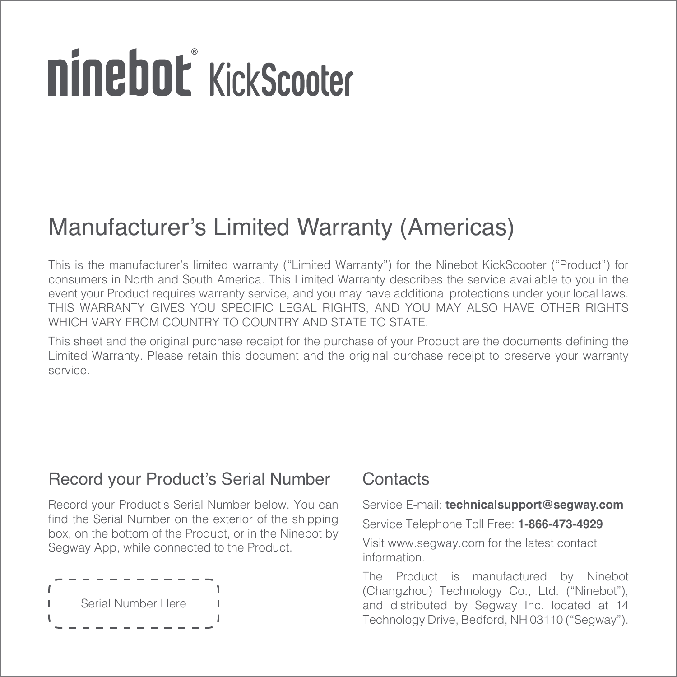# ninebot KickScooter

## Manufacturer's Limited Warranty (Americas)

This is the manufacturer's limited warranty ("Limited Warranty") for the Ninebot KickScooter ("Product") for consumers in North and South America. This Limited Warranty describes the service available to you in the event your Product requires warranty service, and you may have additional protections under your local laws. THIS WARRANTY GIVES YOU SPECIFIC LEGAL RIGHTS, AND YOU MAY ALSO HAVE OTHER RIGHTS WHICH VARY FROM COUNTRY TO COUNTRY AND STATE TO STATE.

This sheet and the original purchase receipt for the purchase of your Product are the documents defining the Limited Warranty. Please retain this document and the original purchase receipt to preserve your warranty service.

### Record your Product's Serial Number

Record your Product's Serial Number below. You can find the Serial Number on the exterior of the shipping box, on the bottom of the Product, or in the Ninebot by Segway App, while connected to the Product.



### **Contacts**

Service E-mail: **technicalsupport@segway.com**

Service Telephone Toll Free: **1-866-473-4929** Visit www.segway.com for the latest contact information.

The Product is manufactured by Ninebot (Changzhou) Technology Co., Ltd. ("Ninebot"), and distributed by Segway Inc. located at 14 Technology Drive, Bedford, NH 03110 ("Segway").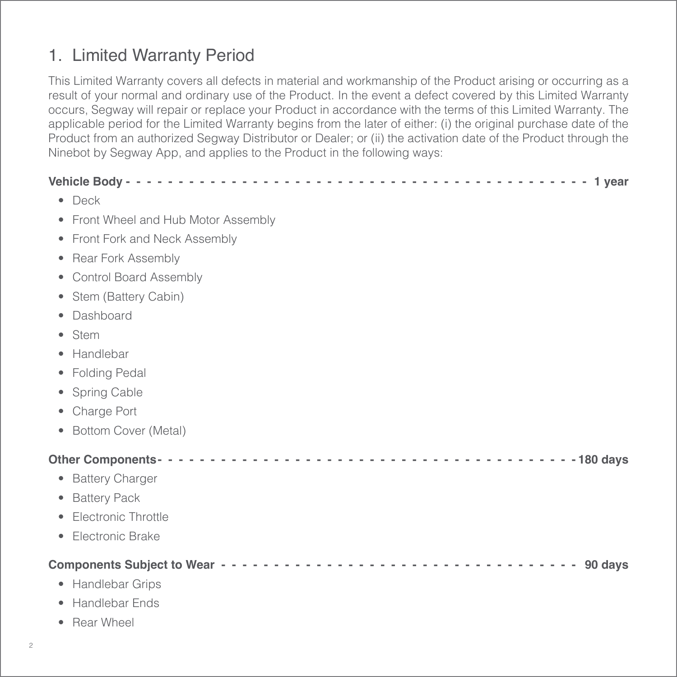### 1. Limited Warranty Period

This Limited Warranty covers all defects in material and workmanship of the Product arising or occurring as a result of your normal and ordinary use of the Product. In the event a defect covered by this Limited Warranty occurs, Segway will repair or replace your Product in accordance with the terms of this Limited Warranty. The applicable period for the Limited Warranty begins from the later of either: (i) the original purchase date of the Product from an authorized Segway Distributor or Dealer; or (ii) the activation date of the Product through the Ninebot by Segway App, and applies to the Product in the following ways:

| $\bullet$ Deck  |                                      |
|-----------------|--------------------------------------|
|                 | • Front Wheel and Hub Motor Assembly |
|                 | • Front Fork and Neck Assembly       |
| $\bullet$       | <b>Rear Fork Assembly</b>            |
| $\bullet$       | Control Board Assembly               |
|                 | • Stem (Battery Cabin)               |
| Dashboard<br>۰  |                                      |
| Stem<br>۰       |                                      |
| Handlebar<br>٠  |                                      |
| • Folding Pedal |                                      |
| • Spring Cable  |                                      |
| • Charge Port   |                                      |
| $\bullet$       | Bottom Cover (Metal)                 |
|                 |                                      |
|                 | • Battery Charger                    |
| • Battery Pack  |                                      |
|                 | • Electronic Throttle                |
| $\bullet$       | Electronic Brake                     |
|                 |                                      |
|                 | • Handlebar Grips                    |
|                 | • Handlebar Ends                     |

• Rear Wheel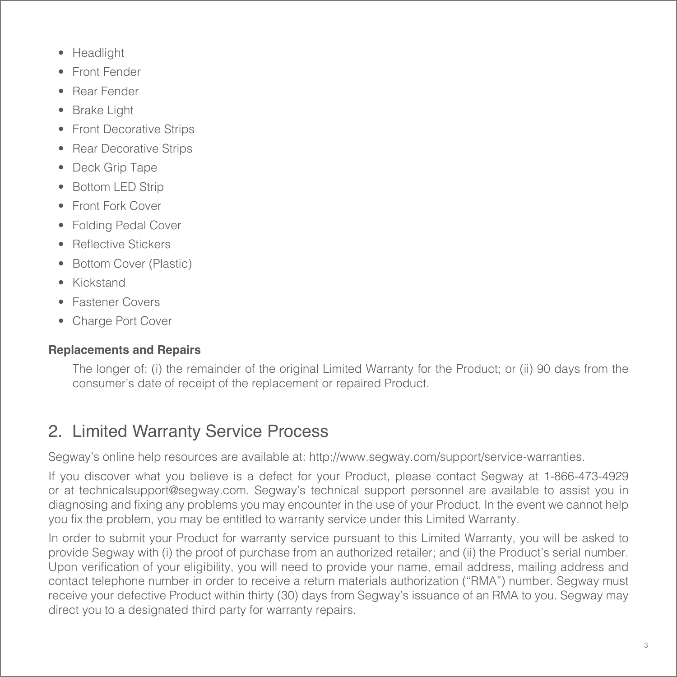- Headlight
- Front Fender
- Rear Fender
- **Brake Light**
- **Front Decorative Strips**
- Rear Decorative Strips
- Deck Grip Tape
- **Bottom LED Strip**
- Front Fork Cover
- Folding Pedal Cover
- Reflective Stickers
- Bottom Cover (Plastic)
- Kickstand
- Fastener Covers
- Charge Port Cover

### **Replacements and Repairs**

The longer of: (i) the remainder of the original Limited Warranty for the Product; or (ii) 90 days from the consumer's date of receipt of the replacement or repaired Product.

### 2. Limited Warranty Service Process

Segway's online help resources are available at: http://www.segway.com/support/service-warranties.

If you discover what you believe is a defect for your Product, please contact Segway at 1-866-473-4929 or at technicalsupport@segway.com. Segway's technical support personnel are available to assist you in diagnosing and fixing any problems you may encounter in the use of your Product. In the event we cannot help you fix the problem, you may be entitled to warranty service under this Limited Warranty.

In order to submit your Product for warranty service pursuant to this Limited Warranty, you will be asked to provide Segway with (i) the proof of purchase from an authorized retailer; and (ii) the Product's serial number. Upon verification of your eligibility, you will need to provide your name, email address, mailing address and contact telephone number in order to receive a return materials authorization ("RMA") number. Segway must receive your defective Product within thirty (30) days from Segway's issuance of an RMA to you. Segway may direct you to a designated third party for warranty repairs.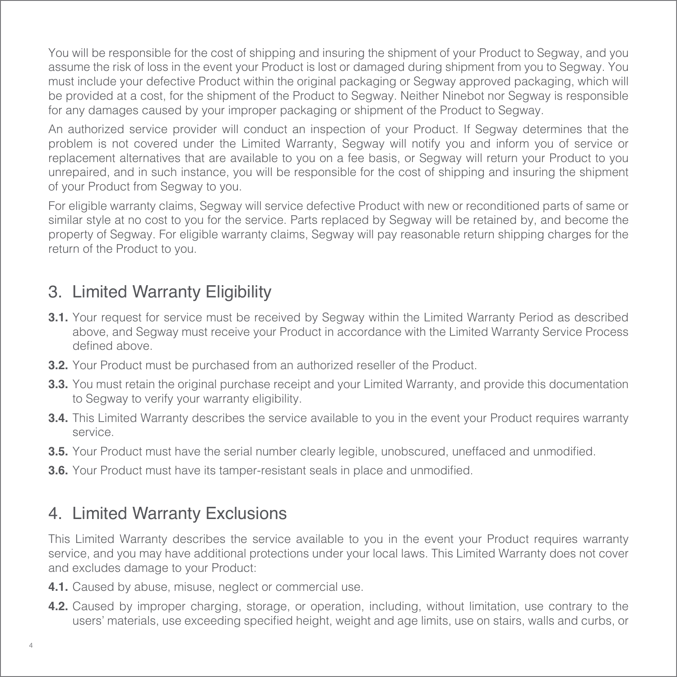You will be responsible for the cost of shipping and insuring the shipment of your Product to Segway, and you assume the risk of loss in the event your Product is lost or damaged during shipment from you to Segway. You must include your defective Product within the original packaging or Segway approved packaging, which will be provided at a cost, for the shipment of the Product to Segway. Neither Ninebot nor Segway is responsible for any damages caused by your improper packaging or shipment of the Product to Segway.

An authorized service provider will conduct an inspection of your Product. If Segway determines that the problem is not covered under the Limited Warranty, Segway will notify you and inform you of service or replacement alternatives that are available to you on a fee basis, or Segway will return your Product to you unrepaired, and in such instance, you will be responsible for the cost of shipping and insuring the shipment of your Product from Segway to you.

For eligible warranty claims, Segway will service defective Product with new or reconditioned parts of same or similar style at no cost to you for the service. Parts replaced by Segway will be retained by, and become the property of Segway. For eligible warranty claims, Segway will pay reasonable return shipping charges for the return of the Product to you.

### 3. Limited Warranty Eligibility

- **3.1.** Your request for service must be received by Segway within the Limited Warranty Period as described above, and Segway must receive your Product in accordance with the Limited Warranty Service Process defined above.
- **3.2.** Your Product must be purchased from an authorized reseller of the Product.
- **3.3.** You must retain the original purchase receipt and your Limited Warranty, and provide this documentation to Segway to verify your warranty eligibility.
- **3.4.** This Limited Warranty describes the service available to you in the event your Product requires warranty service.
- **3.5.** Your Product must have the serial number clearly legible, unobscured, uneffaced and unmodified.
- **3.6.** Your Product must have its tamper-resistant seals in place and unmodified.

### 4. Limited Warranty Exclusions

This Limited Warranty describes the service available to you in the event your Product requires warranty service, and you may have additional protections under your local laws. This Limited Warranty does not cover and excludes damage to your Product:

- **4.1.** Caused by abuse, misuse, neglect or commercial use.
- **4.2.** Caused by improper charging, storage, or operation, including, without limitation, use contrary to the users' materials, use exceeding specified height, weight and age limits, use on stairs, walls and curbs, or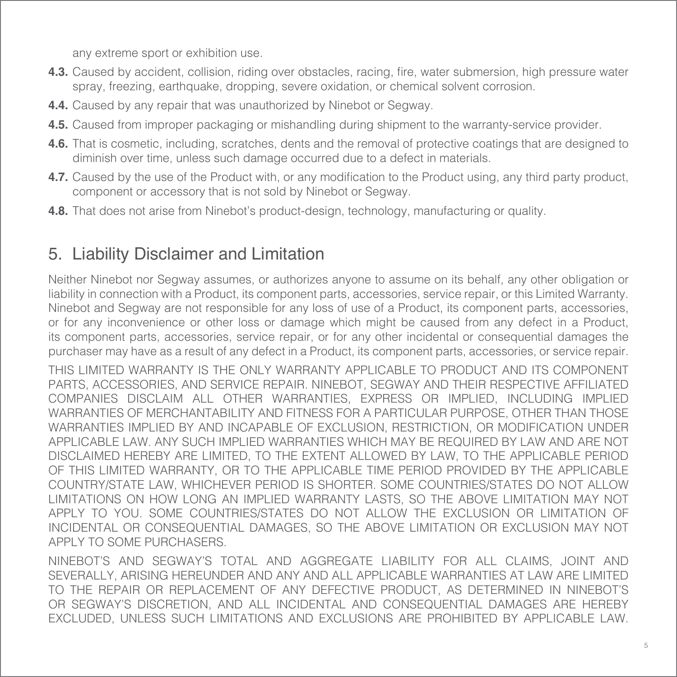any extreme sport or exhibition use.

- **4.3.** Caused by accident, collision, riding over obstacles, racing, fire, water submersion, high pressure water spray, freezing, earthquake, dropping, severe oxidation, or chemical solvent corrosion.
- **4.4.** Caused by any repair that was unauthorized by Ninebot or Segway.
- **4.5.** Caused from improper packaging or mishandling during shipment to the warranty-service provider.
- **4.6.** That is cosmetic, including, scratches, dents and the removal of protective coatings that are designed to diminish over time, unless such damage occurred due to a defect in materials.
- **4.7.** Caused by the use of the Product with, or any modification to the Product using, any third party product, component or accessory that is not sold by Ninebot or Segway.
- **4.8.** That does not arise from Ninebot's product-design, technology, manufacturing or quality.

### 5. Liability Disclaimer and Limitation

Neither Ninebot nor Segway assumes, or authorizes anyone to assume on its behalf, any other obligation or liability in connection with a Product, its component parts, accessories, service repair, or this Limited Warranty. Ninebot and Segway are not responsible for any loss of use of a Product, its component parts, accessories, or for any inconvenience or other loss or damage which might be caused from any defect in a Product, its component parts, accessories, service repair, or for any other incidental or consequential damages the purchaser may have as a result of any defect in a Product, its component parts, accessories, or service repair.

THIS LIMITED WARRANTY IS THE ONLY WARRANTY APPLICABLE TO PRODUCT AND ITS COMPONENT PARTS, ACCESSORIES, AND SERVICE REPAIR. NINEBOT, SEGWAY AND THEIR RESPECTIVE AFFILIATED COMPANIES DISCLAIM ALL OTHER WARRANTIES, EXPRESS OR IMPLIED, INCLUDING IMPLIED WARRANTIES OF MERCHANTABILITY AND FITNESS FOR A PARTICULAR PURPOSE, OTHER THAN THOSE WARRANTIES IMPLIED BY AND INCAPABLE OF EXCLUSION, RESTRICTION, OR MODIFICATION UNDER APPLICABLE LAW. ANY SUCH IMPLIED WARRANTIES WHICH MAY BE REQUIRED BY LAW AND ARE NOT DISCLAIMED HEREBY ARE LIMITED, TO THE EXTENT ALLOWED BY LAW, TO THE APPLICABLE PERIOD OF THIS LIMITED WARRANTY, OR TO THE APPLICABLE TIME PERIOD PROVIDED BY THE APPLICABLE COUNTRY/STATE LAW, WHICHEVER PERIOD IS SHORTER. SOME COUNTRIES/STATES DO NOT ALLOW LIMITATIONS ON HOW LONG AN IMPLIED WARRANTY LASTS, SO THE ABOVE LIMITATION MAY NOT APPLY TO YOU. SOME COUNTRIES/STATES DO NOT ALLOW THE EXCLUSION OR LIMITATION OF INCIDENTAL OR CONSEQUENTIAL DAMAGES, SO THE ABOVE LIMITATION OR EXCLUSION MAY NOT APPLY TO SOME PURCHASERS.

NINEBOT'S AND SEGWAY'S TOTAL AND AGGREGATE LIABILITY FOR ALL CLAIMS, JOINT AND SEVERALLY, ARISING HEREUNDER AND ANY AND ALL APPLICABLE WARRANTIES AT LAW ARE LIMITED TO THE REPAIR OR REPLACEMENT OF ANY DEFECTIVE PRODUCT, AS DETERMINED IN NINEBOT'S OR SEGWAY'S DISCRETION, AND ALL INCIDENTAL AND CONSEQUENTIAL DAMAGES ARE HEREBY EXCLUDED, UNLESS SUCH LIMITATIONS AND EXCLUSIONS ARE PROHIBITED BY APPLICABLE LAW.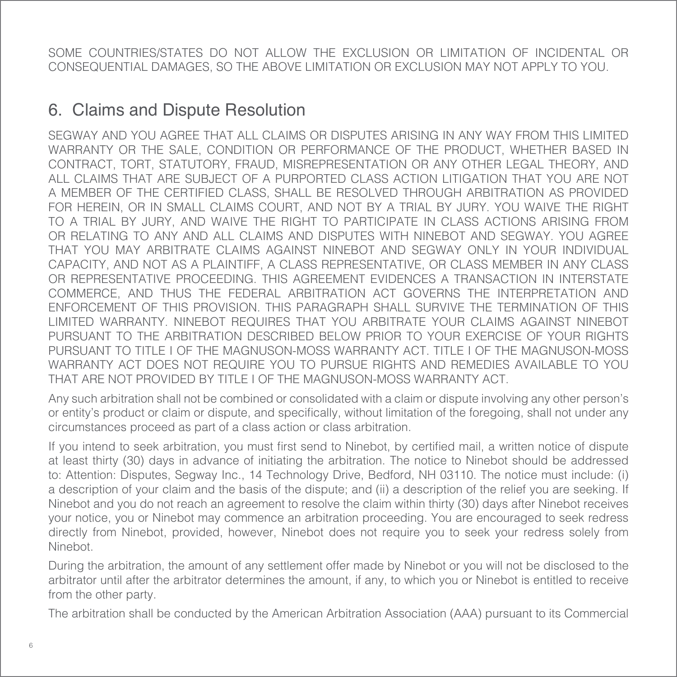SOME COUNTRIES/STATES DO NOT ALLOW THE EXCLUSION OR LIMITATION OF INCIDENTAL OR CONSEQUENTIAL DAMAGES, SO THE ABOVE LIMITATION OR EXCLUSION MAY NOT APPLY TO YOU.

### 6. Claims and Dispute Resolution

SEGWAY AND YOU AGREE THAT ALL CLAIMS OR DISPUTES ARISING IN ANY WAY FROM THIS LIMITED WARRANTY OR THE SALE, CONDITION OR PERFORMANCE OF THE PRODUCT, WHETHER BASED IN CONTRACT, TORT, STATUTORY, FRAUD, MISREPRESENTATION OR ANY OTHER LEGAL THEORY, AND ALL CLAIMS THAT ARE SUBJECT OF A PURPORTED CLASS ACTION LITIGATION THAT YOU ARE NOT A MEMBER OF THE CERTIFIED CLASS, SHALL BE RESOLVED THROUGH ARBITRATION AS PROVIDED FOR HEREIN, OR IN SMALL CLAIMS COURT, AND NOT BY A TRIAL BY JURY. YOU WAIVE THE RIGHT TO A TRIAL BY JURY, AND WAIVE THE RIGHT TO PARTICIPATE IN CLASS ACTIONS ARISING FROM OR RELATING TO ANY AND ALL CLAIMS AND DISPUTES WITH NINEBOT AND SEGWAY. YOU AGREE THAT YOU MAY ARBITRATE CLAIMS AGAINST NINEBOT AND SEGWAY ONLY IN YOUR INDIVIDUAL CAPACITY, AND NOT AS A PLAINTIFF, A CLASS REPRESENTATIVE, OR CLASS MEMBER IN ANY CLASS OR REPRESENTATIVE PROCEEDING. THIS AGREEMENT EVIDENCES A TRANSACTION IN INTERSTATE COMMERCE, AND THUS THE FEDERAL ARBITRATION ACT GOVERNS THE INTERPRETATION AND ENFORCEMENT OF THIS PROVISION. THIS PARAGRAPH SHALL SURVIVE THE TERMINATION OF THIS LIMITED WARRANTY. NINEBOT REQUIRES THAT YOU ARBITRATE YOUR CLAIMS AGAINST NINEBOT PURSUANT TO THE ARBITRATION DESCRIBED BELOW PRIOR TO YOUR EXERCISE OF YOUR RIGHTS PURSUANT TO TITLE I OF THE MAGNUSON-MOSS WARRANTY ACT. TITLE I OF THE MAGNUSON-MOSS WARRANTY ACT DOES NOT REQUIRE YOU TO PURSUE RIGHTS AND REMEDIES AVAILABLE TO YOU THAT ARE NOT PROVIDED BY TITLE I OF THE MAGNUSON-MOSS WARRANTY ACT.

Any such arbitration shall not be combined or consolidated with a claim or dispute involving any other person's or entity's product or claim or dispute, and specifically, without limitation of the foregoing, shall not under any circumstances proceed as part of a class action or class arbitration.

If you intend to seek arbitration, you must first send to Ninebot, by certified mail, a written notice of dispute at least thirty (30) days in advance of initiating the arbitration. The notice to Ninebot should be addressed to: Attention: Disputes, Segway Inc., 14 Technology Drive, Bedford, NH 03110. The notice must include: (i) a description of your claim and the basis of the dispute; and (ii) a description of the relief you are seeking. If Ninebot and you do not reach an agreement to resolve the claim within thirty (30) days after Ninebot receives your notice, you or Ninebot may commence an arbitration proceeding. You are encouraged to seek redress directly from Ninebot, provided, however, Ninebot does not require you to seek your redress solely from Ninebot.

During the arbitration, the amount of any settlement offer made by Ninebot or you will not be disclosed to the arbitrator until after the arbitrator determines the amount, if any, to which you or Ninebot is entitled to receive from the other party.

The arbitration shall be conducted by the American Arbitration Association (AAA) pursuant to its Commercial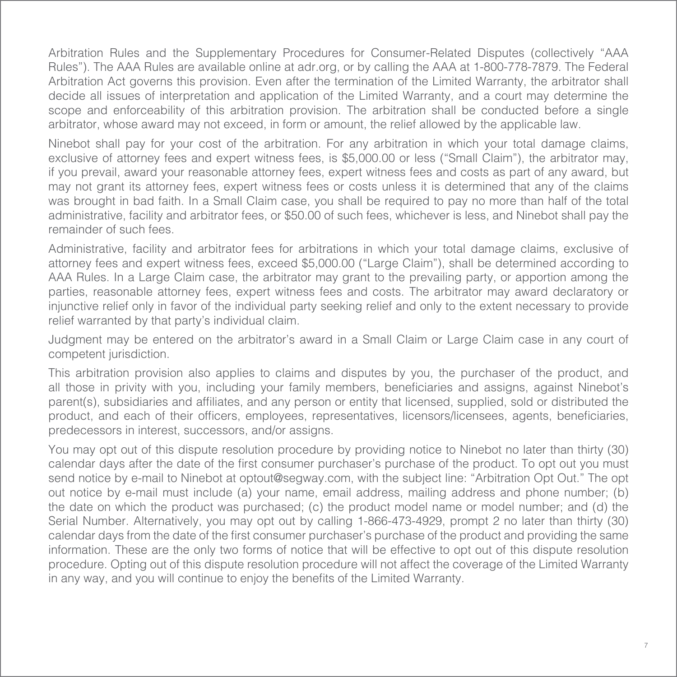Arbitration Rules and the Supplementary Procedures for Consumer-Related Disputes (collectively "AAA Rules"). The AAA Rules are available online at adr.org, or by calling the AAA at 1-800-778-7879. The Federal Arbitration Act governs this provision. Even after the termination of the Limited Warranty, the arbitrator shall decide all issues of interpretation and application of the Limited Warranty, and a court may determine the scope and enforceability of this arbitration provision. The arbitration shall be conducted before a single arbitrator, whose award may not exceed, in form or amount, the relief allowed by the applicable law.

Ninebot shall pay for your cost of the arbitration. For any arbitration in which your total damage claims, exclusive of attorney fees and expert witness fees, is \$5,000.00 or less ("Small Claim"), the arbitrator may, if you prevail, award your reasonable attorney fees, expert witness fees and costs as part of any award, but may not grant its attorney fees, expert witness fees or costs unless it is determined that any of the claims was brought in bad faith. In a Small Claim case, you shall be required to pay no more than half of the total administrative, facility and arbitrator fees, or \$50.00 of such fees, whichever is less, and Ninebot shall pay the remainder of such fees.

Administrative, facility and arbitrator fees for arbitrations in which your total damage claims, exclusive of attorney fees and expert witness fees, exceed \$5,000.00 ("Large Claim"), shall be determined according to AAA Rules. In a Large Claim case, the arbitrator may grant to the prevailing party, or apportion among the parties, reasonable attorney fees, expert witness fees and costs. The arbitrator may award declaratory or injunctive relief only in favor of the individual party seeking relief and only to the extent necessary to provide relief warranted by that party's individual claim.

Judgment may be entered on the arbitrator's award in a Small Claim or Large Claim case in any court of competent jurisdiction.

This arbitration provision also applies to claims and disputes by you, the purchaser of the product, and all those in privity with you, including your family members, beneficiaries and assigns, against Ninebot's parent(s), subsidiaries and affiliates, and any person or entity that licensed, supplied, sold or distributed the product, and each of their officers, employees, representatives, licensors/licensees, agents, beneficiaries, predecessors in interest, successors, and/or assigns.

You may opt out of this dispute resolution procedure by providing notice to Ninebot no later than thirty (30) calendar days after the date of the first consumer purchaser's purchase of the product. To opt out you must send notice by e-mail to Ninebot at optout@segway.com, with the subject line: "Arbitration Opt Out." The opt out notice by e-mail must include (a) your name, email address, mailing address and phone number; (b) the date on which the product was purchased; (c) the product model name or model number; and (d) the Serial Number. Alternatively, you may opt out by calling 1-866-473-4929, prompt 2 no later than thirty (30) calendar days from the date of the first consumer purchaser's purchase of the product and providing the same information. These are the only two forms of notice that will be effective to opt out of this dispute resolution procedure. Opting out of this dispute resolution procedure will not affect the coverage of the Limited Warranty in any way, and you will continue to enjoy the benefits of the Limited Warranty.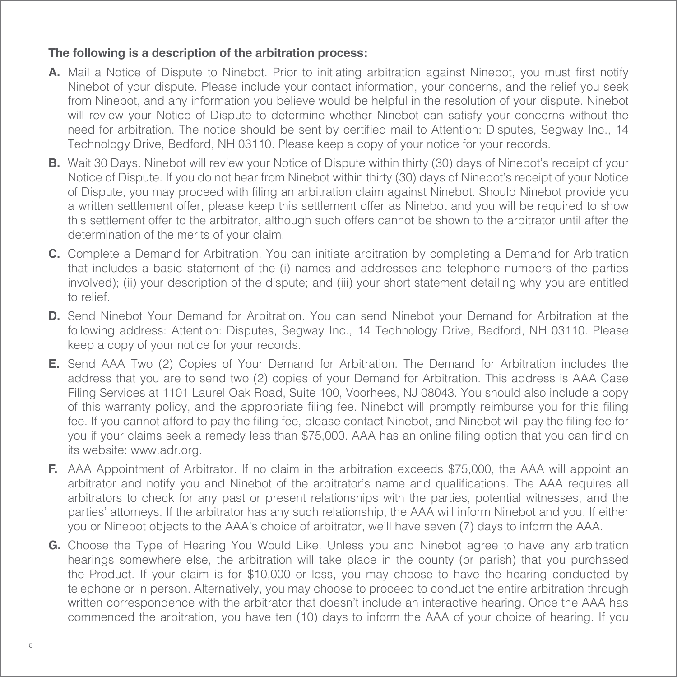#### **The following is a description of the arbitration process:**

- **A.** Mail a Notice of Dispute to Ninebot. Prior to initiating arbitration against Ninebot, you must first notify Ninebot of your dispute. Please include your contact information, your concerns, and the relief you seek from Ninebot, and any information you believe would be helpful in the resolution of your dispute. Ninebot will review your Notice of Dispute to determine whether Ninebot can satisfy your concerns without the need for arbitration. The notice should be sent by certified mail to Attention: Disputes, Segway Inc., 14 Technology Drive, Bedford, NH 03110. Please keep a copy of your notice for your records.
- **B.** Wait 30 Days. Ninebot will review your Notice of Dispute within thirty (30) days of Ninebot's receipt of your Notice of Dispute. If you do not hear from Ninebot within thirty (30) days of Ninebot's receipt of your Notice of Dispute, you may proceed with filing an arbitration claim against Ninebot. Should Ninebot provide you a written settlement offer, please keep this settlement offer as Ninebot and you will be required to show this settlement offer to the arbitrator, although such offers cannot be shown to the arbitrator until after the determination of the merits of your claim.
- **C.** Complete a Demand for Arbitration. You can initiate arbitration by completing a Demand for Arbitration that includes a basic statement of the (i) names and addresses and telephone numbers of the parties involved); (ii) your description of the dispute; and (iii) your short statement detailing why you are entitled to relief.
- **D.** Send Ninebot Your Demand for Arbitration. You can send Ninebot your Demand for Arbitration at the following address: Attention: Disputes, Segway Inc., 14 Technology Drive, Bedford, NH 03110. Please keep a copy of your notice for your records.
- **E.** Send AAA Two (2) Copies of Your Demand for Arbitration. The Demand for Arbitration includes the address that you are to send two (2) copies of your Demand for Arbitration. This address is AAA Case Filing Services at 1101 Laurel Oak Road, Suite 100, Voorhees, NJ 08043. You should also include a copy of this warranty policy, and the appropriate filing fee. Ninebot will promptly reimburse you for this filing fee. If you cannot afford to pay the filing fee, please contact Ninebot, and Ninebot will pay the filing fee for you if your claims seek a remedy less than \$75,000. AAA has an online filing option that you can find on its website: www.adr.org.
- **F.** AAA Appointment of Arbitrator. If no claim in the arbitration exceeds \$75,000, the AAA will appoint an arbitrator and notify you and Ninebot of the arbitrator's name and qualifications. The AAA requires all arbitrators to check for any past or present relationships with the parties, potential witnesses, and the parties' attorneys. If the arbitrator has any such relationship, the AAA will inform Ninebot and you. If either you or Ninebot objects to the AAA's choice of arbitrator, we'll have seven (7) days to inform the AAA.
- **G.** Choose the Type of Hearing You Would Like. Unless you and Ninebot agree to have any arbitration hearings somewhere else, the arbitration will take place in the county (or parish) that you purchased the Product. If your claim is for \$10,000 or less, you may choose to have the hearing conducted by telephone or in person. Alternatively, you may choose to proceed to conduct the entire arbitration through written correspondence with the arbitrator that doesn't include an interactive hearing. Once the AAA has commenced the arbitration, you have ten (10) days to inform the AAA of your choice of hearing. If you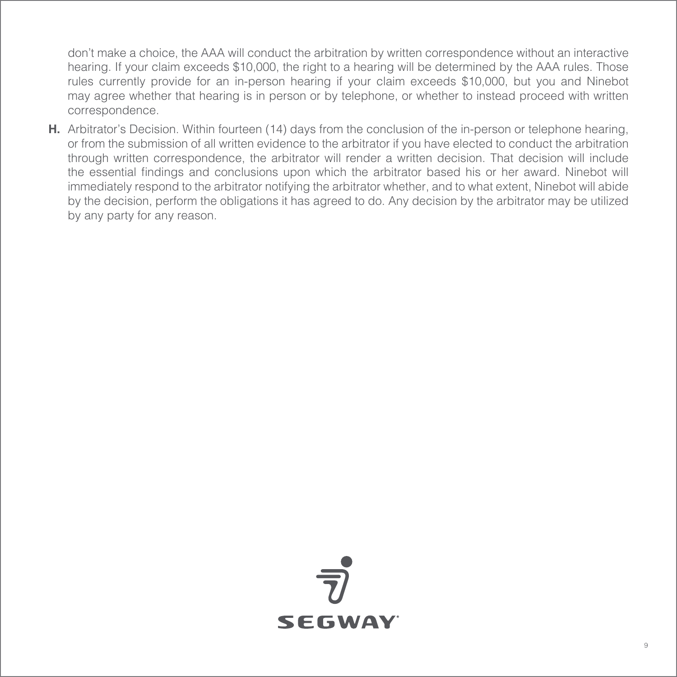don't make a choice, the AAA will conduct the arbitration by written correspondence without an interactive hearing. If your claim exceeds \$10,000, the right to a hearing will be determined by the AAA rules. Those rules currently provide for an in-person hearing if your claim exceeds \$10,000, but you and Ninebot may agree whether that hearing is in person or by telephone, or whether to instead proceed with written correspondence.

**H.** Arbitrator's Decision. Within fourteen (14) days from the conclusion of the in-person or telephone hearing, or from the submission of all written evidence to the arbitrator if you have elected to conduct the arbitration through written correspondence, the arbitrator will render a written decision. That decision will include the essential findings and conclusions upon which the arbitrator based his or her award. Ninebot will immediately respond to the arbitrator notifying the arbitrator whether, and to what extent, Ninebot will abide by the decision, perform the obligations it has agreed to do. Any decision by the arbitrator may be utilized by any party for any reason.

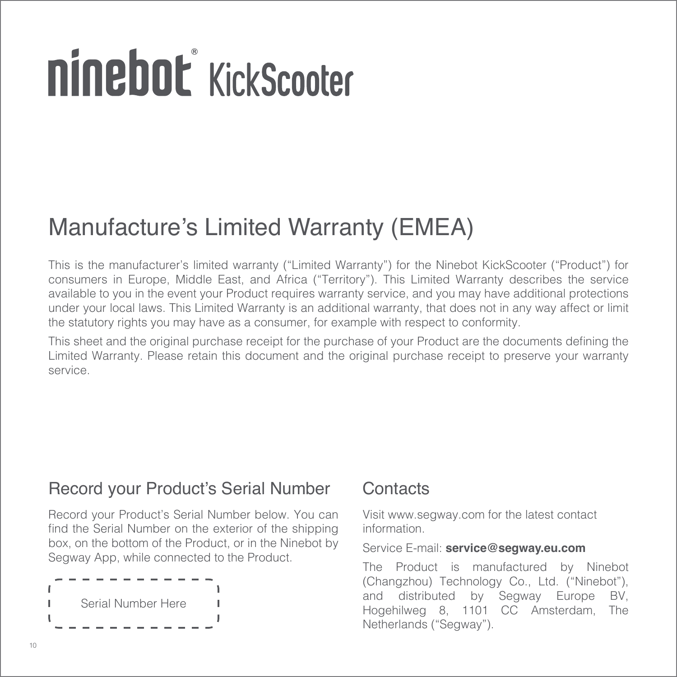# ninebot KickScooter

# Manufacture's Limited Warranty (EMEA)

This is the manufacturer's limited warranty ("Limited Warranty") for the Ninebot KickScooter ("Product") for consumers in Europe, Middle East, and Africa ("Territory"). This Limited Warranty describes the service available to you in the event your Product requires warranty service, and you may have additional protections under your local laws. This Limited Warranty is an additional warranty, that does not in any way affect or limit the statutory rights you may have as a consumer, for example with respect to conformity.

This sheet and the original purchase receipt for the purchase of your Product are the documents defining the Limited Warranty. Please retain this document and the original purchase receipt to preserve your warranty service.

### Record your Product's Serial Number

Record your Product's Serial Number below. You can find the Serial Number on the exterior of the shipping box, on the bottom of the Product, or in the Ninebot by Segway App, while connected to the Product.



### **Contacts**

Visit www.segway.com for the latest contact information.

#### Service E-mail: **service@segway.eu.com**

The Product is manufactured by Ninebot (Changzhou) Technology Co., Ltd. ("Ninebot"), and distributed by Segway Europe BV, Hogehilweg 8, 1101 CC Amsterdam, The Netherlands ("Segway").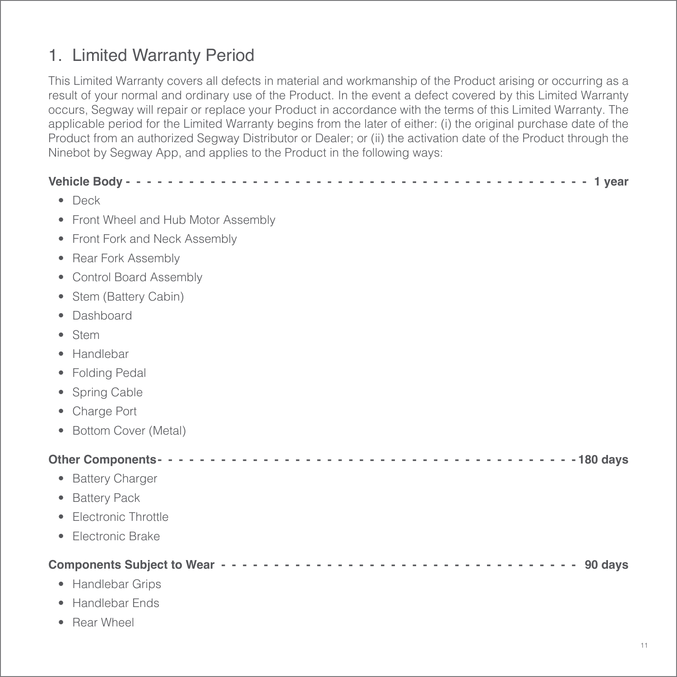## 1. Limited Warranty Period

This Limited Warranty covers all defects in material and workmanship of the Product arising or occurring as a result of your normal and ordinary use of the Product. In the event a defect covered by this Limited Warranty occurs, Segway will repair or replace your Product in accordance with the terms of this Limited Warranty. The applicable period for the Limited Warranty begins from the later of either: (i) the original purchase date of the Product from an authorized Segway Distributor or Dealer; or (ii) the activation date of the Product through the Ninebot by Segway App, and applies to the Product in the following ways:

| $\bullet$ Deck |                                      |
|----------------|--------------------------------------|
|                | • Front Wheel and Hub Motor Assembly |
|                | • Front Fork and Neck Assembly       |
|                | • Rear Fork Assembly                 |
|                | • Control Board Assembly             |
|                | • Stem (Battery Cabin)               |
|                | Dashboard                            |
| Stem<br>۰      |                                      |
|                | Handlebar                            |
|                | • Folding Pedal                      |
|                | • Spring Cable                       |
|                | • Charge Port                        |
|                | • Bottom Cover (Metal)               |
|                |                                      |
|                | • Battery Charger                    |
|                | • Battery Pack                       |
|                | • Electronic Throttle                |
| ٠              | Electronic Brake                     |
|                |                                      |
|                | • Handlebar Grips                    |
|                | • Handlebar Ends                     |

• Rear Wheel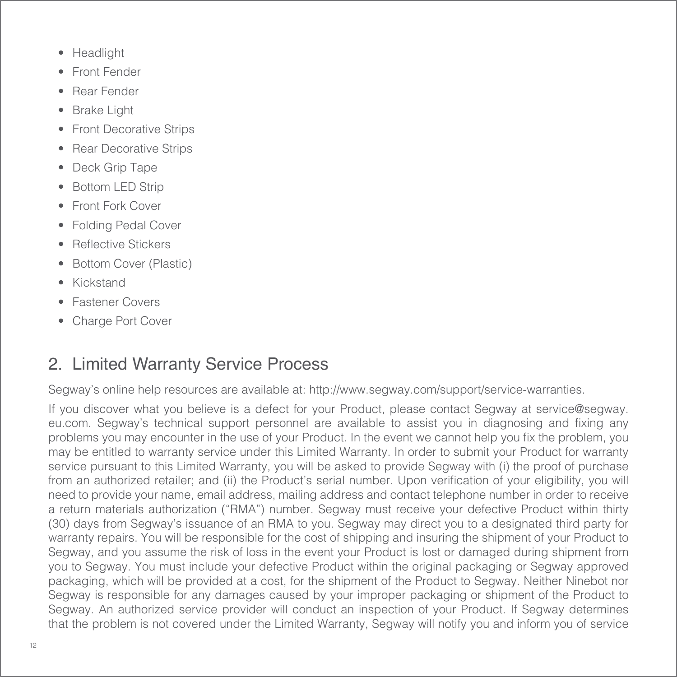- Headlight
- Front Fender
- Rear Fender
- **Brake Light**
- **Front Decorative Strips**
- Rear Decorative Strips
- Deck Grip Tape
- **Bottom LED Strip**
- Front Fork Cover
- Folding Pedal Cover
- Reflective Stickers
- Bottom Cover (Plastic)
- Kickstand
- Fastener Covers
- Charge Port Cover

### 2. Limited Warranty Service Process

Segway's online help resources are available at: http://www.segway.com/support/service-warranties.

If you discover what you believe is a defect for your Product, please contact Segway at service@segway. eu.com. Segway's technical support personnel are available to assist you in diagnosing and fixing any problems you may encounter in the use of your Product. In the event we cannot help you fix the problem, you may be entitled to warranty service under this Limited Warranty. In order to submit your Product for warranty service pursuant to this Limited Warranty, you will be asked to provide Segway with (i) the proof of purchase from an authorized retailer; and (ii) the Product's serial number. Upon verification of your eligibility, you will need to provide your name, email address, mailing address and contact telephone number in order to receive a return materials authorization ("RMA") number. Segway must receive your defective Product within thirty (30) days from Segway's issuance of an RMA to you. Segway may direct you to a designated third party for warranty repairs. You will be responsible for the cost of shipping and insuring the shipment of your Product to Segway, and you assume the risk of loss in the event your Product is lost or damaged during shipment from you to Segway. You must include your defective Product within the original packaging or Segway approved packaging, which will be provided at a cost, for the shipment of the Product to Segway. Neither Ninebot nor Segway is responsible for any damages caused by your improper packaging or shipment of the Product to Segway. An authorized service provider will conduct an inspection of your Product. If Segway determines that the problem is not covered under the Limited Warranty, Segway will notify you and inform you of service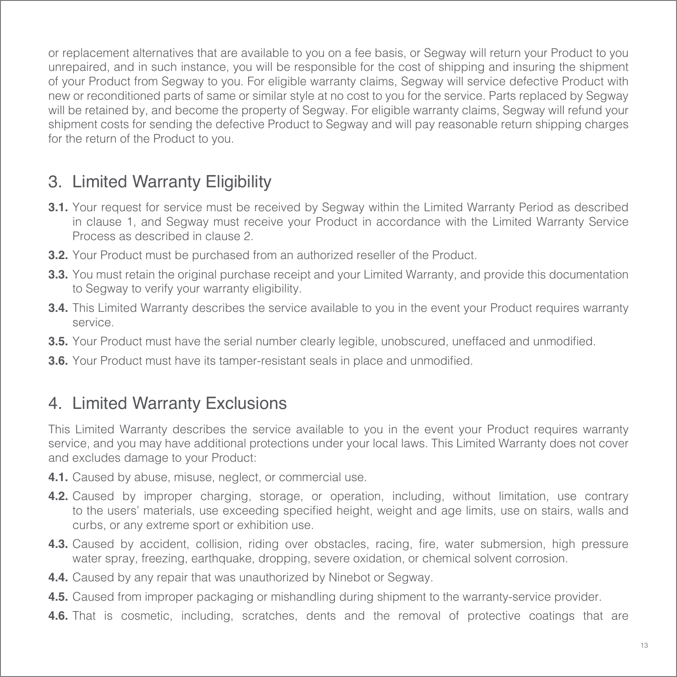or replacement alternatives that are available to you on a fee basis, or Segway will return your Product to you unrepaired, and in such instance, you will be responsible for the cost of shipping and insuring the shipment of your Product from Segway to you. For eligible warranty claims, Segway will service defective Product with new or reconditioned parts of same or similar style at no cost to you for the service. Parts replaced by Segway will be retained by, and become the property of Segway. For eligible warranty claims, Segway will refund your shipment costs for sending the defective Product to Segway and will pay reasonable return shipping charges for the return of the Product to you.

## 3. Limited Warranty Eligibility

- **3.1.** Your request for service must be received by Segway within the Limited Warranty Period as described in clause 1, and Segway must receive your Product in accordance with the Limited Warranty Service Process as described in clause 2.
- **3.2.** Your Product must be purchased from an authorized reseller of the Product.
- **3.3.** You must retain the original purchase receipt and your Limited Warranty, and provide this documentation to Segway to verify your warranty eligibility.
- **3.4.** This Limited Warranty describes the service available to you in the event your Product requires warranty service.
- **3.5.** Your Product must have the serial number clearly legible, unobscured, uneffaced and unmodified.
- **3.6.** Your Product must have its tamper-resistant seals in place and unmodified.

### 4. Limited Warranty Exclusions

This Limited Warranty describes the service available to you in the event your Product requires warranty service, and you may have additional protections under your local laws. This Limited Warranty does not cover and excludes damage to your Product:

- **4.1.** Caused by abuse, misuse, neglect, or commercial use.
- **4.2.** Caused by improper charging, storage, or operation, including, without limitation, use contrary to the users' materials, use exceeding specified height, weight and age limits, use on stairs, walls and curbs, or any extreme sport or exhibition use.
- **4.3.** Caused by accident, collision, riding over obstacles, racing, fire, water submersion, high pressure water spray, freezing, earthquake, dropping, severe oxidation, or chemical solvent corrosion.
- **4.4.** Caused by any repair that was unauthorized by Ninebot or Segway.
- **4.5.** Caused from improper packaging or mishandling during shipment to the warranty-service provider.
- **4.6.** That is cosmetic, including, scratches, dents and the removal of protective coatings that are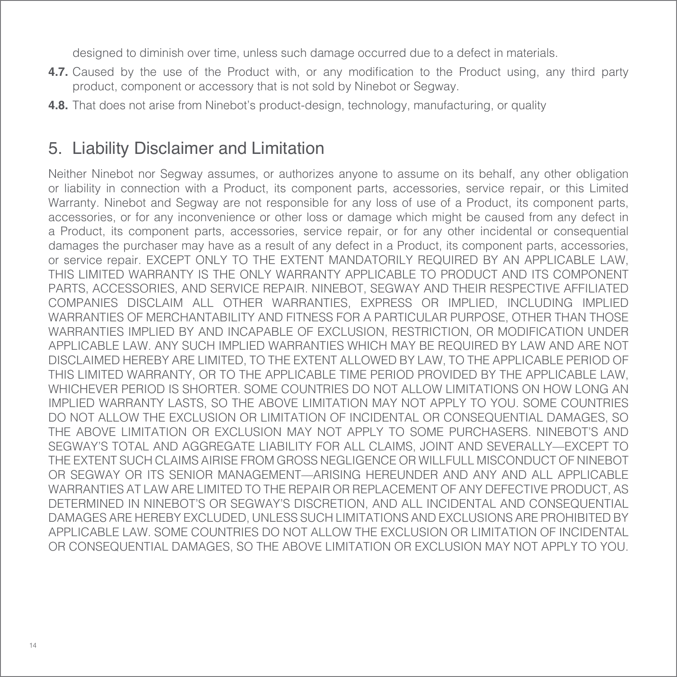designed to diminish over time, unless such damage occurred due to a defect in materials.

- **4.7.** Caused by the use of the Product with, or any modification to the Product using, any third party product, component or accessory that is not sold by Ninebot or Segway.
- **4.8.** That does not arise from Ninebot's product-design, technology, manufacturing, or quality

### 5. Liability Disclaimer and Limitation

Neither Ninebot nor Segway assumes, or authorizes anyone to assume on its behalf, any other obligation or liability in connection with a Product, its component parts, accessories, service repair, or this Limited Warranty. Ninebot and Segway are not responsible for any loss of use of a Product, its component parts, accessories, or for any inconvenience or other loss or damage which might be caused from any defect in a Product, its component parts, accessories, service repair, or for any other incidental or consequential damages the purchaser may have as a result of any defect in a Product, its component parts, accessories, or service repair. EXCEPT ONLY TO THE EXTENT MANDATORILY REQUIRED BY AN APPLICABLE LAW, THIS LIMITED WARRANTY IS THE ONLY WARRANTY APPLICABLE TO PRODUCT AND ITS COMPONENT PARTS, ACCESSORIES, AND SERVICE REPAIR. NINEBOT, SEGWAY AND THEIR RESPECTIVE AFFILIATED COMPANIES DISCLAIM ALL OTHER WARRANTIES, EXPRESS OR IMPLIED, INCLUDING IMPLIED WARRANTIES OF MERCHANTABILITY AND FITNESS FOR A PARTICULAR PURPOSE, OTHER THAN THOSE WARRANTIES IMPLIED BY AND INCAPABLE OF EXCLUSION, RESTRICTION, OR MODIFICATION UNDER APPLICABLE LAW. ANY SUCH IMPLIED WARRANTIES WHICH MAY BE REQUIRED BY LAW AND ARE NOT DISCLAIMED HEREBY ARE LIMITED, TO THE EXTENT ALLOWED BY LAW, TO THE APPLICABLE PERIOD OF THIS LIMITED WARRANTY, OR TO THE APPLICABLE TIME PERIOD PROVIDED BY THE APPLICABLE LAW, WHICHEVER PERIOD IS SHORTER. SOME COUNTRIES DO NOT ALLOW LIMITATIONS ON HOW LONG AN IMPLIED WARRANTY LASTS, SO THE ABOVE LIMITATION MAY NOT APPLY TO YOU. SOME COUNTRIES DO NOT ALLOW THE EXCLUSION OR LIMITATION OF INCIDENTAL OR CONSEQUENTIAL DAMAGES, SO THE ABOVE LIMITATION OR EXCLUSION MAY NOT APPLY TO SOME PURCHASERS. NINEBOT'S AND SEGWAY'S TOTAL AND AGGREGATE LIABILITY FOR ALL CLAIMS, JOINT AND SEVERALLY—EXCEPT TO THE EXTENT SUCH CLAIMS AIRISE FROM GROSS NEGLIGENCE OR WILLFULL MISCONDUCT OF NINEBOT OR SEGWAY OR ITS SENIOR MANAGEMENT—ARISING HEREUNDER AND ANY AND ALL APPLICABLE WARRANTIES AT LAW ARE LIMITED TO THE REPAIR OR REPLACEMENT OF ANY DEFECTIVE PRODUCT, AS DETERMINED IN NINEBOT'S OR SEGWAY'S DISCRETION, AND ALL INCIDENTAL AND CONSEQUENTIAL DAMAGES ARE HEREBY EXCLUDED, UNLESS SUCH LIMITATIONS AND EXCLUSIONS ARE PROHIBITED BY APPLICABLE LAW. SOME COUNTRIES DO NOT ALLOW THE EXCLUSION OR LIMITATION OF INCIDENTAL OR CONSEQUENTIAL DAMAGES, SO THE ABOVE LIMITATION OR EXCLUSION MAY NOT APPLY TO YOU.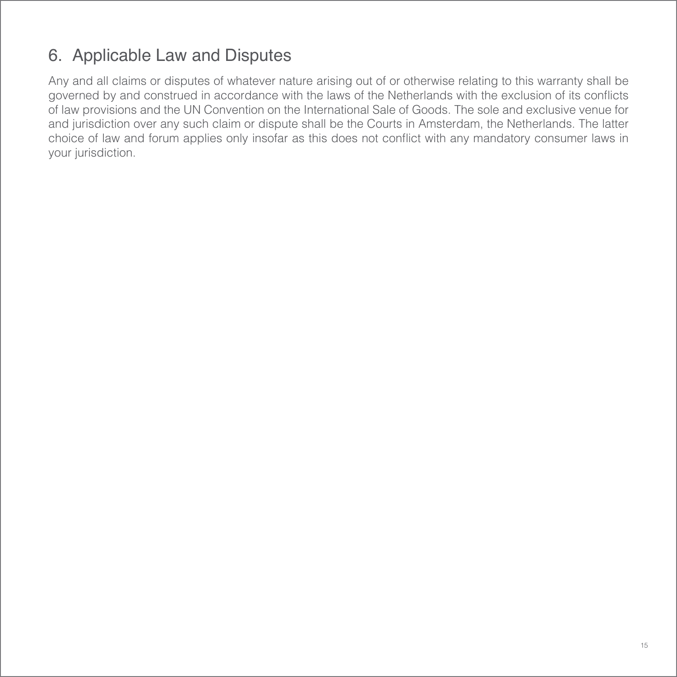## 6. Applicable Law and Disputes

Any and all claims or disputes of whatever nature arising out of or otherwise relating to this warranty shall be governed by and construed in accordance with the laws of the Netherlands with the exclusion of its conflicts of law provisions and the UN Convention on the International Sale of Goods. The sole and exclusive venue for and jurisdiction over any such claim or dispute shall be the Courts in Amsterdam, the Netherlands. The latter choice of law and forum applies only insofar as this does not conflict with any mandatory consumer laws in your jurisdiction.